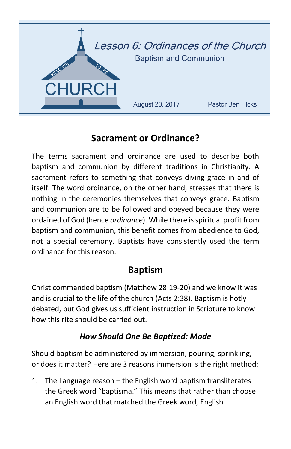

# **Sacrament or Ordinance?**

The terms sacrament and ordinance are used to describe both baptism and communion by different traditions in Christianity. A sacrament refers to something that conveys diving grace in and of itself. The word ordinance, on the other hand, stresses that there is nothing in the ceremonies themselves that conveys grace. Baptism and communion are to be followed and obeyed because they were ordained of God (hence *ordinance*). While there is spiritual profit from baptism and communion, this benefit comes from obedience to God, not a special ceremony. Baptists have consistently used the term ordinance for this reason.

## **Baptism**

Christ commanded baptism (Matthew 28:19-20) and we know it was and is crucial to the life of the church (Acts 2:38). Baptism is hotly debated, but God gives us sufficient instruction in Scripture to know how this rite should be carried out.

### *How Should One Be Baptized: Mode*

Should baptism be administered by immersion, pouring, sprinkling, or does it matter? Here are 3 reasons immersion is the right method:

1. The Language reason – the English word baptism transliterates the Greek word "baptisma." This means that rather than choose an English word that matched the Greek word, English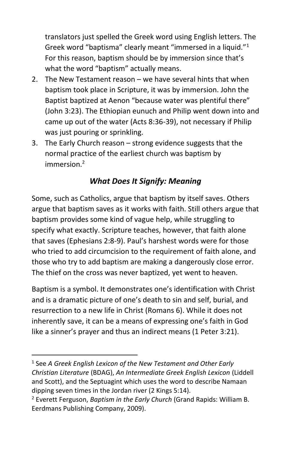translators just spelled the Greek word using English letters. The Greek word "baptisma" clearly meant "immersed in a liquid."<sup>1</sup> For this reason, baptism should be by immersion since that's what the word "baptism" actually means.

- 2. The New Testament reason we have several hints that when baptism took place in Scripture, it was by immersion. John the Baptist baptized at Aenon "because water was plentiful there" (John 3:23). The Ethiopian eunuch and Philip went down into and came up out of the water (Acts 8:36-39), not necessary if Philip was just pouring or sprinkling.
- 3. The Early Church reason strong evidence suggests that the normal practice of the earliest church was baptism by  $immersion<sup>2</sup>$

### *What Does It Signify: Meaning*

Some, such as Catholics, argue that baptism by itself saves. Others argue that baptism saves as it works with faith. Still others argue that baptism provides some kind of vague help, while struggling to specify what exactly. Scripture teaches, however, that faith alone that saves (Ephesians 2:8-9). Paul's harshest words were for those who tried to add circumcision to the requirement of faith alone, and those who try to add baptism are making a dangerously close error. The thief on the cross was never baptized, yet went to heaven.

Baptism is a symbol. It demonstrates one's identification with Christ and is a dramatic picture of one's death to sin and self, burial, and resurrection to a new life in Christ (Romans 6). While it does not inherently save, it can be a means of expressing one's faith in God like a sinner's prayer and thus an indirect means (1 Peter 3:21).

l

<sup>1</sup> See *A Greek English Lexicon of the New Testament and Other Early Christian Literature* (BDAG), *An Intermediate Greek English Lexicon* (Liddell and Scott), and the Septuagint which uses the word to describe Namaan dipping seven times in the Jordan river (2 Kings 5:14).

<sup>2</sup> Everett Ferguson, *Baptism in the Early Church* (Grand Rapids: William B. Eerdmans Publishing Company, 2009).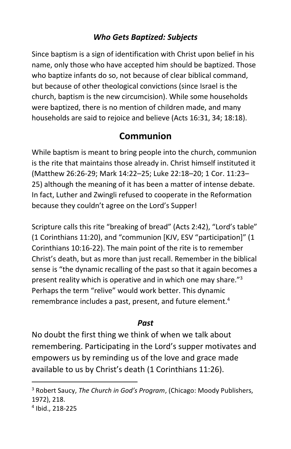### *Who Gets Baptized: Subjects*

Since baptism is a sign of identification with Christ upon belief in his name, only those who have accepted him should be baptized. Those who baptize infants do so, not because of clear biblical command, but because of other theological convictions (since Israel is the church, baptism is the new circumcision). While some households were baptized, there is no mention of children made, and many households are said to rejoice and believe (Acts 16:31, 34; 18:18).

## **Communion**

While baptism is meant to bring people into the church, communion is the rite that maintains those already in. Christ himself instituted it (Matthew 26:26-29; Mark 14:22–25; Luke 22:18–20; 1 Cor. 11:23– 25) although the meaning of it has been a matter of intense debate. In fact, Luther and Zwingli refused to cooperate in the Reformation because they couldn't agree on the Lord's Supper!

Scripture calls this rite "breaking of bread" (Acts 2:42), "Lord's table" (1 Corinthians 11:20), and "communion [KJV, ESV "participation]" (1 Corinthians 10:16-22). The main point of the rite is to remember Christ's death, but as more than just recall. Remember in the biblical sense is "the dynamic recalling of the past so that it again becomes a present reality which is operative and in which one may share."<sup>3</sup> Perhaps the term "relive" would work better. This dynamic remembrance includes a past, present, and future element.<sup>4</sup>

#### *Past*

No doubt the first thing we think of when we talk about remembering. Participating in the Lord's supper motivates and empowers us by reminding us of the love and grace made available to us by Christ's death (1 Corinthians 11:26).

 $\overline{\phantom{a}}$ 

<sup>3</sup> Robert Saucy, *The Church in God's Program*, (Chicago: Moody Publishers, 1972), 218.

<sup>4</sup> Ibid., 218-225